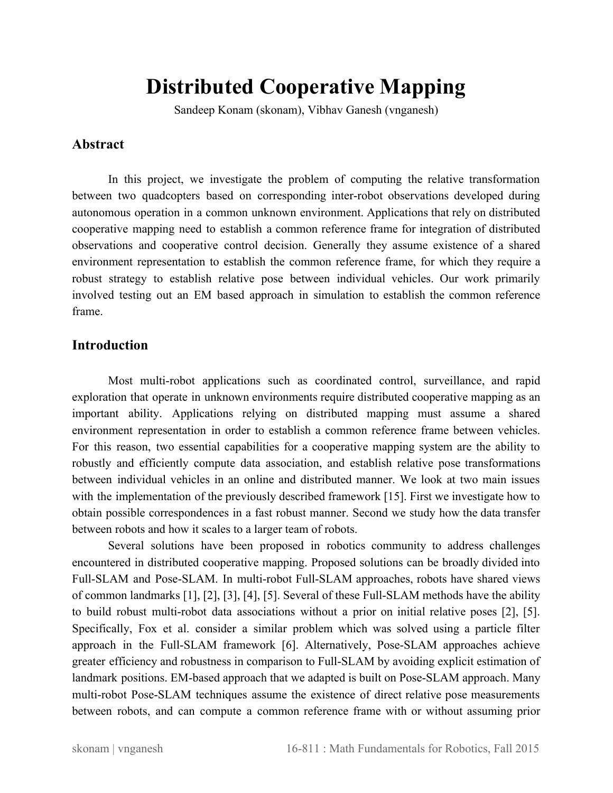# **Distributed Cooperative Mapping**

Sandeep Konam (skonam), Vibhav Ganesh (vnganesh)

# **Abstract**

In this project, we investigate the problem of computing the relative transformation between two quadcopters based on corresponding inter-robot observations developed during autonomous operation in a common unknown environment. Applications that rely on distributed cooperative mapping need to establish a common reference frame for integration of distributed observations and cooperative control decision. Generally they assume existence of a shared environment representation to establish the common reference frame, for which they require a robust strategy to establish relative pose between individual vehicles. Our work primarily involved testing out an EM based approach in simulation to establish the common reference frame.

# **Introduction**

Most multi-robot applications such as coordinated control, surveillance, and rapid exploration that operate in unknown environments require distributed cooperative mapping as an important ability. Applications relying on distributed mapping must assume a shared environment representation in order to establish a common reference frame between vehicles. For this reason, two essential capabilities for a cooperative mapping system are the ability to robustly and efficiently compute data association, and establish relative pose transformations between individual vehicles in an online and distributed manner. We look at two main issues with the implementation of the previously described framework [15]. First we investigate how to obtain possible correspondences in a fast robust manner. Second we study how the data transfer between robots and how it scales to a larger team of robots.

Several solutions have been proposed in robotics community to address challenges encountered in distributed cooperative mapping. Proposed solutions can be broadly divided into Full-SLAM and Pose-SLAM. In multi-robot Full-SLAM approaches, robots have shared views of common landmarks  $[1]$ ,  $[2]$ ,  $[3]$ ,  $[4]$ ,  $[5]$ . Several of these Full-SLAM methods have the ability to build robust multi-robot data associations without a prior on initial relative poses [2], [5]. Specifically, Fox et al. consider a similar problem which was solved using a particle filter approach in the Full-SLAM framework [6]. Alternatively, Pose-SLAM approaches achieve greater efficiency and robustness in comparison to Full-SLAM by avoiding explicit estimation of landmark positions. EM-based approach that we adapted is built on Pose-SLAM approach. Many multi-robot Pose-SLAM techniques assume the existence of direct relative pose measurements between robots, and can compute a common reference frame with or without assuming prior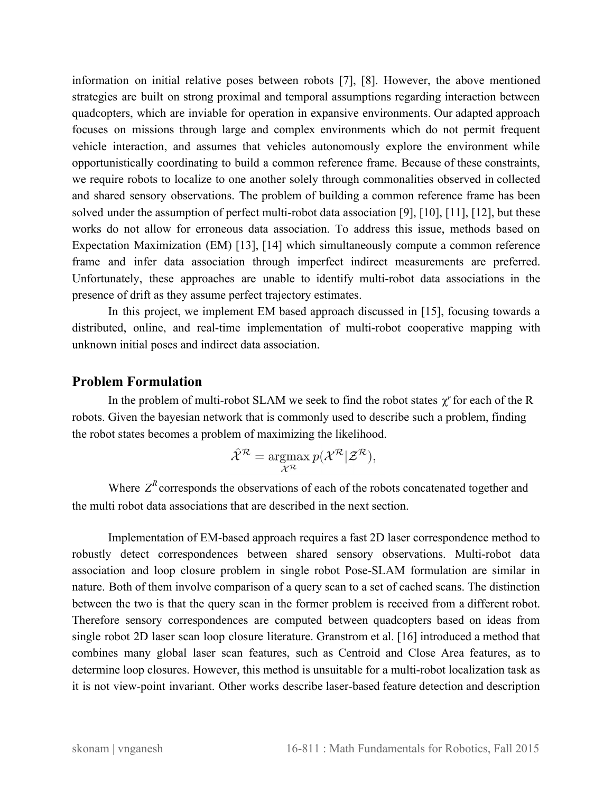information on initial relative poses between robots [7], [8]. However, the above mentioned strategies are built on strong proximal and temporal assumptions regarding interaction between quadcopters, which are inviable for operation in expansive environments. Our adapted approach focuses on missions through large and complex environments which do not permit frequent vehicle interaction, and assumes that vehicles autonomously explore the environment while opportunistically coordinating to build a common reference frame. Because of these constraints, we require robots to localize to one another solely through commonalities observed in collected and shared sensory observations. The problem of building a common reference frame has been solved under the assumption of perfect multi-robot data association [9], [10], [11], [12], but these works do not allow for erroneous data association. To address this issue, methods based on Expectation Maximization (EM) [13], [14] which simultaneously compute a common reference frame and infer data association through imperfect indirect measurements are preferred. Unfortunately, these approaches are unable to identify multi-robot data associations in the presence of drift as they assume perfect trajectory estimates.

In this project, we implement EM based approach discussed in [15], focusing towards a distributed, online, and real-time implementation of multi-robot cooperative mapping with unknown initial poses and indirect data association.

#### **Problem Formulation**

In the problem of multi-robot SLAM we seek to find the robot states  $\chi^r$  for each of the R robots. Given the bayesian network that is commonly used to describe such a problem, finding the robot states becomes a problem of maximizing the likelihood.

$$
\hat{\mathcal{X}}^{\mathcal{R}} = \operatorname*{argmax}_{\mathcal{X}^{\mathcal{R}}} p(\mathcal{X}^{\mathcal{R}} | \mathcal{Z}^{\mathcal{R}}),
$$

Where  $Z^R$  corresponds the observations of each of the robots concatenated together and the multi robot data associations that are described in the next section.

Implementation of EM-based approach requires a fast 2D laser correspondence method to robustly detect correspondences between shared sensory observations. Multi-robot data association and loop closure problem in single robot Pose-SLAM formulation are similar in nature. Both of them involve comparison of a query scan to a set of cached scans. The distinction between the two is that the query scan in the former problem is received from a different robot. Therefore sensory correspondences are computed between quadcopters based on ideas from single robot 2D laser scan loop closure literature. Granstrom et al. [16] introduced a method that combines many global laser scan features, such as Centroid and Close Area features, as to determine loop closures. However, this method is unsuitable for a multi-robot localization task as it is not view-point invariant. Other works describe laser-based feature detection and description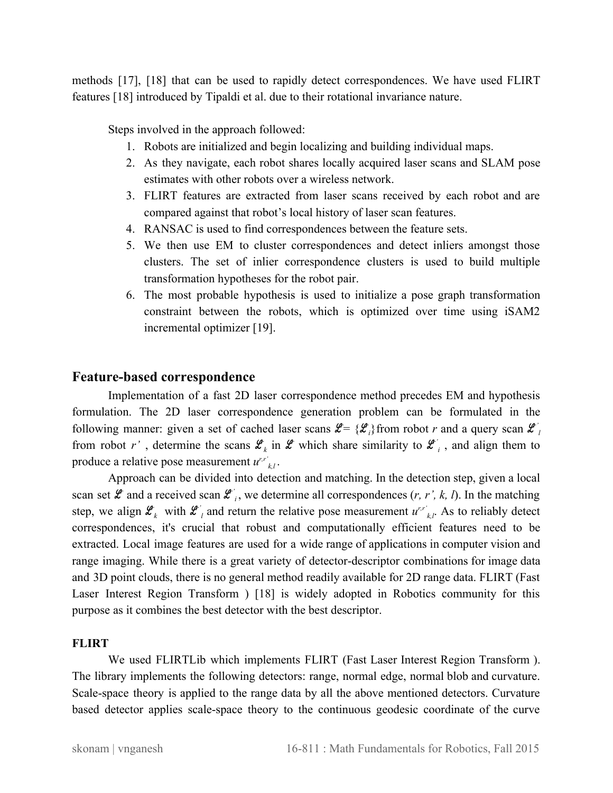methods [17], [18] that can be used to rapidly detect correspondences. We have used FLIRT features [18] introduced by Tipaldi et al. due to their rotational invariance nature.

Steps involved in the approach followed:

- 1. Robots are initialized and begin localizing and building individual maps.
- 2. As they navigate, each robot shares locally acquired laser scans and SLAM pose estimates with other robots over a wireless network.
- 3. FLIRT features are extracted from laser scans received by each robot and are compared against that robot's local history of laser scan features.
- 4. RANSAC is used to find correspondences between the feature sets.
- 5. We then use EM to cluster correspondences and detect inliers amongst those clusters. The set of inlier correspondence clusters is used to build multiple transformation hypotheses for the robot pair.
- 6. The most probable hypothesis is used to initialize a pose graph transformation constraint between the robots, which is optimized over time using iSAM2 incremental optimizer [19].

#### **Feature-based correspondence**

Implementation of a fast 2D laser correspondence method precedes EM and hypothesis formulation. The 2D laser correspondence generation problem can be formulated in the following manner: given a set of cached laser scans  $\mathcal{L} = {\mathcal{L}_i}$  from robot *r* and a query scan  $\mathcal{L}_i$ from robot r', determine the scans  $\mathcal{L}_k$  in  $\mathcal{L}$  which share similarity to  $\mathcal{L}_i$ , and align them to produce a relative pose measurement  $u^{r,r'}_{k,l}$ .

Approach can be divided into detection and matching. In the detection step, given a local scan set  $\mathcal{L}$  and a received scan  $\mathcal{L}'_i$ , we determine all correspondences  $(r, r', k, l)$ . In the matching step, we align  $\mathcal{L}_k$  with  $\mathcal{L}_l$  and return the relative pose measurement  $u^{r,r'}_{k,l}$ . As to reliably detect correspondences, it's crucial that robust and computationally efficient features need to be extracted. Local image features are used for a wide range of applications in computer vision and range imaging. While there is a great variety of detector-descriptor combinations for image data and 3D point clouds, there is no general method readily available for 2D range data. FLIRT (Fast Laser Interest Region Transform ) [18] is widely adopted in Robotics community for this purpose as it combines the best detector with the best descriptor.

#### **FLIRT**

We used FLIRTLib which implements FLIRT (Fast Laser Interest Region Transform ). The library implements the following detectors: range, normal edge, normal blob and curvature. Scale-space theory is applied to the range data by all the above mentioned detectors. Curvature based detector applies scale-space theory to the continuous geodesic coordinate of the curve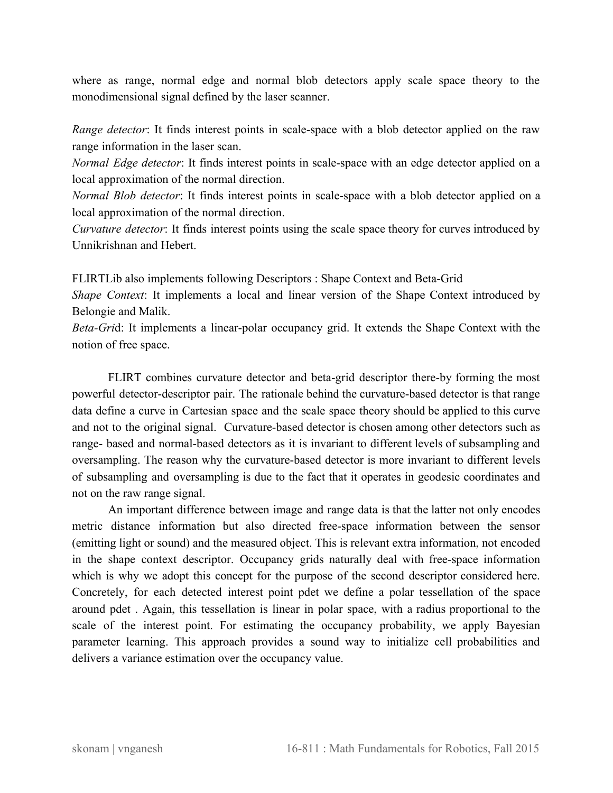where as range, normal edge and normal blob detectors apply scale space theory to the monodimensional signal defined by the laser scanner.

*Range detector*: It finds interest points in scale-space with a blob detector applied on the raw range information in the laser scan.

*Normal Edge detector*: It finds interest points in scale-space with an edge detector applied on a local approximation of the normal direction.

*Normal Blob detector*: It finds interest points in scale-space with a blob detector applied on a local approximation of the normal direction.

*Curvature detector*: It finds interest points using the scale space theory for curves introduced by Unnikrishnan and Hebert.

FLIRTLib also implements following Descriptors : Shape Context and Beta-Grid

*Shape Context*: It implements a local and linear version of the Shape Context introduced by Belongie and Malik.

*Beta-Grid:* It implements a linear-polar occupancy grid. It extends the Shape Context with the notion of free space.

FLIRT combines curvature detector and beta-grid descriptor there-by forming the most powerful detector-descriptor pair. The rationale behind the curvature-based detector is that range data define a curve in Cartesian space and the scale space theory should be applied to this curve and not to the original signal. Curvature-based detector is chosen among other detectors such as range- based and normal-based detectors as it is invariant to different levels of subsampling and oversampling. The reason why the curvature-based detector is more invariant to different levels of subsampling and oversampling is due to the fact that it operates in geodesic coordinates and not on the raw range signal.

An important difference between image and range data is that the latter not only encodes metric distance information but also directed freespace information between the sensor (emitting light or sound) and the measured object. This is relevant extra information, not encoded in the shape context descriptor. Occupancy grids naturally deal with freespace information which is why we adopt this concept for the purpose of the second descriptor considered here. Concretely, for each detected interest point pdet we define a polar tessellation of the space around pdet . Again, this tessellation is linear in polar space, with a radius proportional to the scale of the interest point. For estimating the occupancy probability, we apply Bayesian parameter learning. This approach provides a sound way to initialize cell probabilities and delivers a variance estimation over the occupancy value.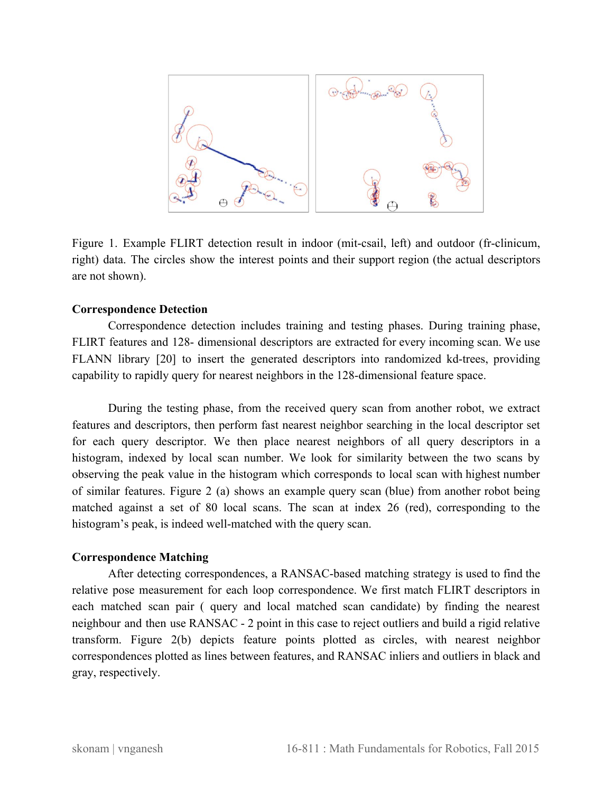

Figure 1. Example FLIRT detection result in indoor (mit-csail, left) and outdoor (fr-clinicum, right) data. The circles show the interest points and their support region (the actual descriptors are not shown).

#### **Correspondence Detection**

Correspondence detection includes training and testing phases. During training phase, FLIRT features and 128- dimensional descriptors are extracted for every incoming scan. We use FLANN library [20] to insert the generated descriptors into randomized kd-trees, providing capability to rapidly query for nearest neighbors in the 128-dimensional feature space.

During the testing phase, from the received query scan from another robot, we extract features and descriptors, then perform fast nearest neighbor searching in the local descriptor set for each query descriptor. We then place nearest neighbors of all query descriptors in a histogram, indexed by local scan number. We look for similarity between the two scans by observing the peak value in the histogram which corresponds to local scan with highest number of similar features. Figure 2 (a) shows an example query scan (blue) from another robot being matched against a set of 80 local scans. The scan at index 26 (red), corresponding to the histogram's peak, is indeed well-matched with the query scan.

#### **Correspondence Matching**

After detecting correspondences, a RANSAC-based matching strategy is used to find the relative pose measurement for each loop correspondence. We first match FLIRT descriptors in each matched scan pair ( query and local matched scan candidate) by finding the nearest neighbour and then use RANSAC 2 point in this case to reject outliers and build a rigid relative transform. Figure 2(b) depicts feature points plotted as circles, with nearest neighbor correspondences plotted as lines between features, and RANSAC inliers and outliers in black and gray, respectively.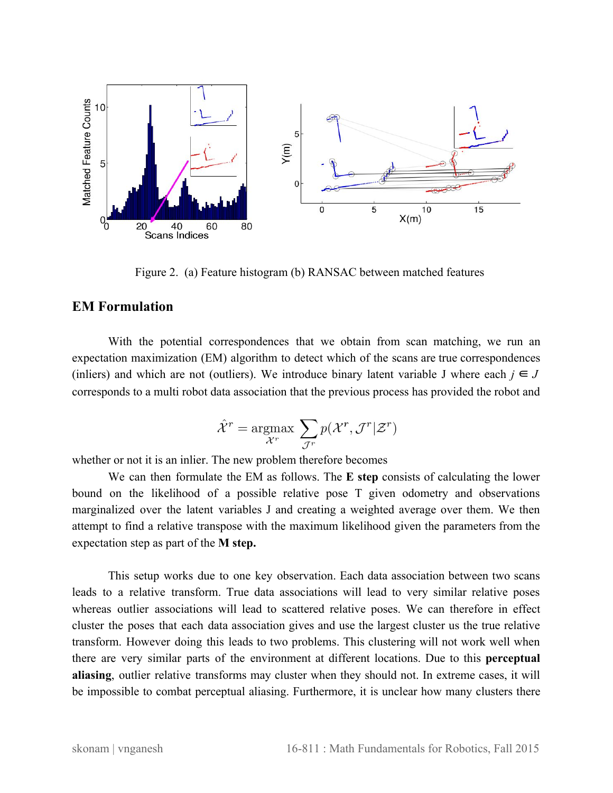

Figure 2. (a) Feature histogram (b) RANSAC between matched features

# **EM Formulation**

With the potential correspondences that we obtain from scan matching, we run an expectation maximization (EM) algorithm to detect which of the scans are true correspondences (in liers) and which are not (outliers). We introduce binary latent variable J where each  $j \in J$ corresponds to a multi robot data association that the previous process has provided the robot and

$$
\hat{\mathcal{X}}^r = \operatornamewithlimits{argmax}_{\mathcal{X}^r} \ \sum_{\mathcal{J}^r} p(\mathcal{X}^r, \mathcal{J}^r | \mathcal{Z}^r)
$$

whether or not it is an inlier. The new problem therefore becomes

We can then formulate the EM as follows. The **E step** consists of calculating the lower bound on the likelihood of a possible relative pose T given odometry and observations marginalized over the latent variables J and creating a weighted average over them. We then attempt to find a relative transpose with the maximum likelihood given the parameters from the expectation step as part of the **M step.**

This setup works due to one key observation. Each data association between two scans leads to a relative transform. True data associations will lead to very similar relative poses whereas outlier associations will lead to scattered relative poses. We can therefore in effect cluster the poses that each data association gives and use the largest cluster us the true relative transform. However doing this leads to two problems. This clustering will not work well when there are very similar parts of the environment at different locations. Due to this **perceptual aliasing**, outlier relative transforms may cluster when they should not. In extreme cases, it will be impossible to combat perceptual aliasing. Furthermore, it is unclear how many clusters there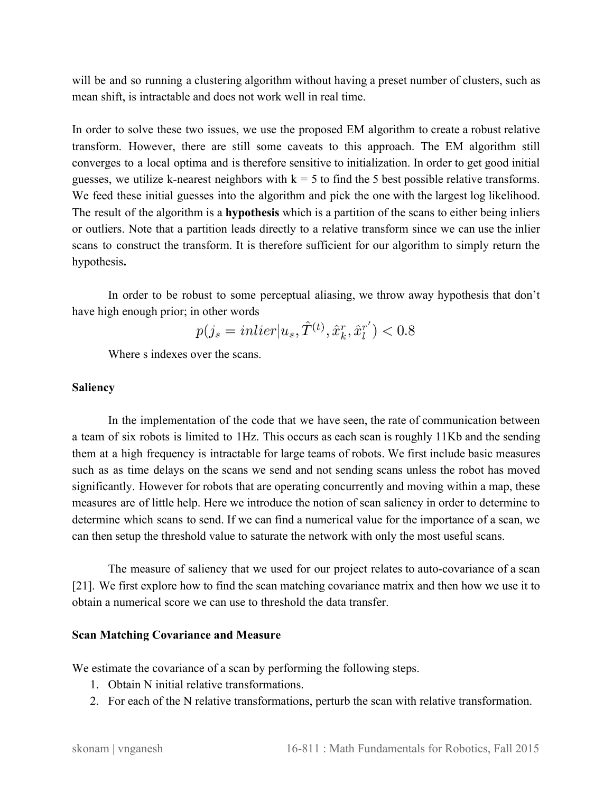will be and so running a clustering algorithm without having a preset number of clusters, such as mean shift, is intractable and does not work well in real time.

In order to solve these two issues, we use the proposed EM algorithm to create a robust relative transform. However, there are still some caveats to this approach. The EM algorithm still converges to a local optima and is therefore sensitive to initialization. In order to get good initial guesses, we utilize k-nearest neighbors with  $k = 5$  to find the 5 best possible relative transforms. We feed these initial guesses into the algorithm and pick the one with the largest log likelihood. The result of the algorithm is a **hypothesis** which is a partition of the scans to either being inliers or outliers. Note that a partition leads directly to a relative transform since we can use the inlier scans to construct the transform. It is therefore sufficient for our algorithm to simply return the hypothesis**.**

In order to be robust to some perceptual aliasing, we throw away hypothesis that don't have high enough prior; in other words  $\sim$ 

$$
p(j_s = inlier|u_s, T^{(t)}, \hat{x}_k^r, \hat{x}_l^{r'}) < 0.8
$$

Where s indexes over the scans.

#### **Saliency**

In the implementation of the code that we have seen, the rate of communication between a team of six robots is limited to 1Hz. This occurs as each scan is roughly 11Kb and the sending them at a high frequency is intractable for large teams of robots. We first include basic measures such as as time delays on the scans we send and not sending scans unless the robot has moved significantly. However for robots that are operating concurrently and moving within a map, these measures are of little help. Here we introduce the notion of scan saliency in order to determine to determine which scans to send. If we can find a numerical value for the importance of a scan, we can then setup the threshold value to saturate the network with only the most useful scans.

The measure of saliency that we used for our project relates to auto-covariance of a scan [21]. We first explore how to find the scan matching covariance matrix and then how we use it to obtain a numerical score we can use to threshold the data transfer.

#### **Scan Matching Covariance and Measure**

We estimate the covariance of a scan by performing the following steps.

- 1. Obtain N initial relative transformations.
- 2. For each of the N relative transformations, perturb the scan with relative transformation.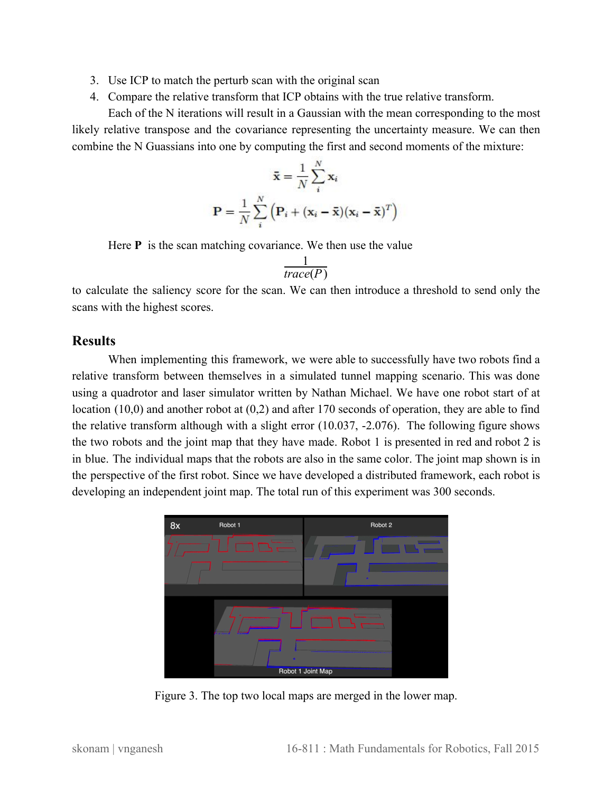- 3. Use ICP to match the perturb scan with the original scan
- 4. Compare the relative transform that ICP obtains with the true relative transform.

Each of the N iterations will result in a Gaussian with the mean corresponding to the most likely relative transpose and the covariance representing the uncertainty measure. We can then combine the N Guassians into one by computing the first and second moments of the mixture:

$$
\bar{\mathbf{x}} = \frac{1}{N} \sum_{i}^{N} \mathbf{x}_i
$$

$$
\mathbf{P} = \frac{1}{N} \sum_{i}^{N} \left( \mathbf{P}_i + (\mathbf{x}_i - \bar{\mathbf{x}}) (\mathbf{x}_i - \bar{\mathbf{x}})^T \right)
$$

Here **P** is the scan matching covariance. We then use the value

$$
\frac{1}{\text{trace}(P)}
$$

to calculate the saliency score for the scan. We can then introduce a threshold to send only the scans with the highest scores.

## **Results**

When implementing this framework, we were able to successfully have two robots find a relative transform between themselves in a simulated tunnel mapping scenario. This was done using a quadrotor and laser simulator written by Nathan Michael. We have one robot start of at location (10,0) and another robot at (0,2) and after 170 seconds of operation, they are able to find the relative transform although with a slight error (10.037, 2.076). The following figure shows the two robots and the joint map that they have made. Robot 1 is presented in red and robot 2 is in blue. The individual maps that the robots are also in the same color. The joint map shown is in the perspective of the first robot. Since we have developed a distributed framework, each robot is developing an independent joint map. The total run of this experiment was 300 seconds.



Figure 3. The top two local maps are merged in the lower map.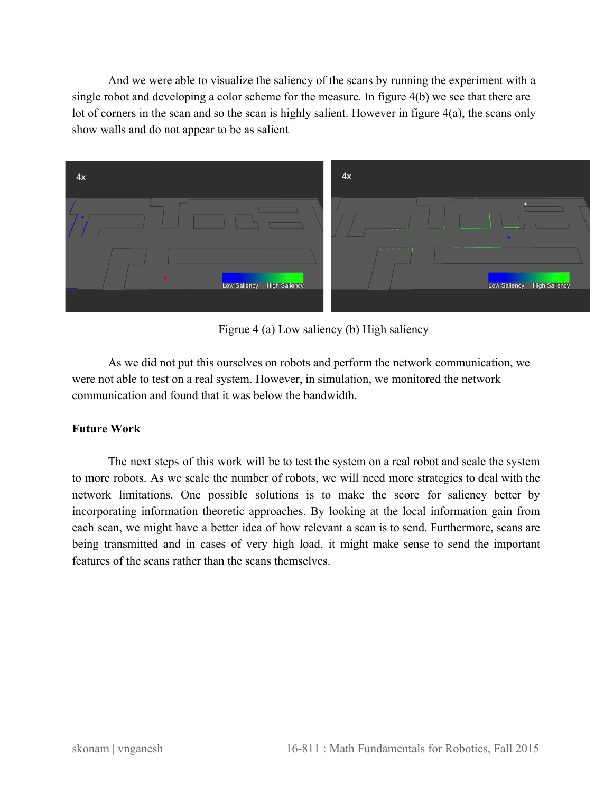And we were able to visualize the saliency of the scans by running the experiment with a single robot and developing a color scheme for the measure. In figure 4(b) we see that there are lot of corners in the scan and so the scan is highly salient. However in figure 4(a), the scans only show walls and do not appear to be as salient



Figrue 4 (a) Low saliency (b) High saliency

As we did not put this ourselves on robots and perform the network communication, we were not able to test on a real system. However, in simulation, we monitored the network communication and found that it was below the bandwidth.

## **Future Work**

The next steps of this work will be to test the system on a real robot and scale the system to more robots. As we scale the number of robots, we will need more strategies to deal with the network limitations. One possible solutions is to make the score for saliency better by incorporating information theoretic approaches. By looking at the local information gain from each scan, we might have a better idea of how relevant a scan is to send. Furthermore, scans are being transmitted and in cases of very high load, it might make sense to send the important features of the scans rather than the scans themselves.